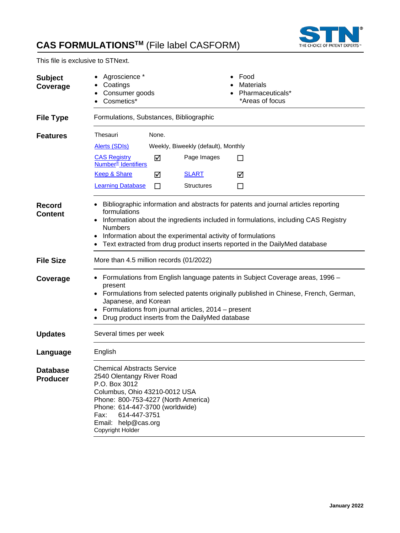

This file is exclusive to STNext.

| <b>Subject</b><br>Coverage         | Agroscience *<br>Coatings<br>Consumer goods<br>Cosmetics*                                                                                                                                                                                                                                                            |        |                                                             |         | Food<br><b>Materials</b><br>Pharmaceuticals*<br>*Areas of focus                                                                                                                                                                                        |  |
|------------------------------------|----------------------------------------------------------------------------------------------------------------------------------------------------------------------------------------------------------------------------------------------------------------------------------------------------------------------|--------|-------------------------------------------------------------|---------|--------------------------------------------------------------------------------------------------------------------------------------------------------------------------------------------------------------------------------------------------------|--|
| <b>File Type</b>                   | Formulations, Substances, Bibliographic                                                                                                                                                                                                                                                                              |        |                                                             |         |                                                                                                                                                                                                                                                        |  |
| <b>Features</b>                    | Thesauri<br><b>Alerts (SDIs)</b>                                                                                                                                                                                                                                                                                     | None.  | Weekly, Biweekly (default), Monthly                         |         |                                                                                                                                                                                                                                                        |  |
|                                    | <b>CAS Registry</b><br><b>Number<sup>®</sup></b> Identifiers                                                                                                                                                                                                                                                         | ☑      | Page Images                                                 | ΙI      |                                                                                                                                                                                                                                                        |  |
|                                    | <b>Keep &amp; Share</b><br><b>Learning Database</b>                                                                                                                                                                                                                                                                  | ☑<br>П | <b>SLART</b><br><b>Structures</b>                           | ☑<br>ΙI |                                                                                                                                                                                                                                                        |  |
| Record<br><b>Content</b>           | formulations<br><b>Numbers</b>                                                                                                                                                                                                                                                                                       |        | Information about the experimental activity of formulations |         | Bibliographic information and abstracts for patents and journal articles reporting<br>Information about the ingredients included in formulations, including CAS Registry<br>Text extracted from drug product inserts reported in the DailyMed database |  |
| <b>File Size</b>                   | More than 4.5 million records (01/2022)                                                                                                                                                                                                                                                                              |        |                                                             |         |                                                                                                                                                                                                                                                        |  |
| Coverage                           | Formulations from English language patents in Subject Coverage areas, 1996 -<br>٠<br>present<br>Formulations from selected patents originally published in Chinese, French, German,<br>Japanese, and Korean<br>Formulations from journal articles, 2014 – present<br>Drug product inserts from the DailyMed database |        |                                                             |         |                                                                                                                                                                                                                                                        |  |
| <b>Updates</b>                     | Several times per week                                                                                                                                                                                                                                                                                               |        |                                                             |         |                                                                                                                                                                                                                                                        |  |
| Language                           | English                                                                                                                                                                                                                                                                                                              |        |                                                             |         |                                                                                                                                                                                                                                                        |  |
| <b>Database</b><br><b>Producer</b> | <b>Chemical Abstracts Service</b><br>2540 Olentangy River Road<br>P.O. Box 3012<br>Columbus, Ohio 43210-0012 USA<br>Phone: 800-753-4227 (North America)<br>Phone: 614-447-3700 (worldwide)<br>614-447-3751<br>Fax:<br>Email: help@cas.org<br>Copyright Holder                                                        |        |                                                             |         |                                                                                                                                                                                                                                                        |  |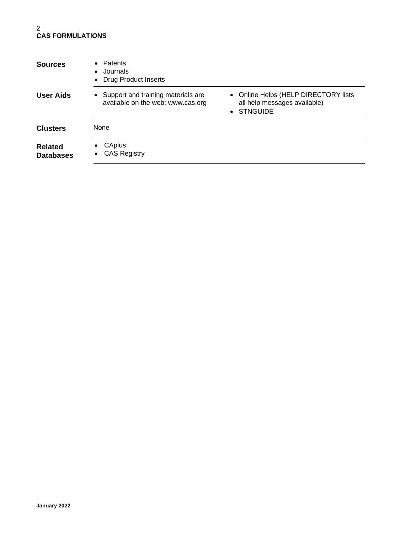| <b>Sources</b>                     | Patents<br>$\bullet$<br>Journals<br>$\bullet$<br><b>Drug Product Inserts</b><br>$\bullet$ |                                                                                    |
|------------------------------------|-------------------------------------------------------------------------------------------|------------------------------------------------------------------------------------|
| <b>User Aids</b>                   | Support and training materials are<br>$\bullet$<br>available on the web: www.cas.org      | • Online Helps (HELP DIRECTORY lists<br>all help messages available)<br>• STNGUIDE |
| <b>Clusters</b>                    | None                                                                                      |                                                                                    |
| <b>Related</b><br><b>Databases</b> | CAplus<br>٠<br><b>CAS Registry</b>                                                        |                                                                                    |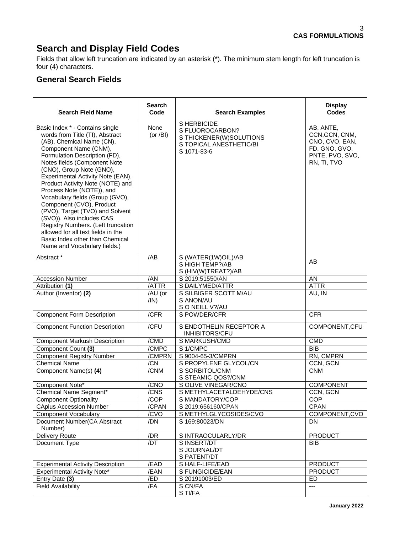# **Search and Display Field Codes**

Fields that allow left truncation are indicated by an asterisk (\*). The minimum stem length for left truncation is four (4) characters.

### **General Search Fields**

| <b>Search Field Name</b>                                                                                                                                                                                                                                                                                                                                                                                                                                                                                                                                                                                  | <b>Search</b><br>Code | <b>Search Examples</b>                                                                              | <b>Display</b><br><b>Codes</b>                                                                   |
|-----------------------------------------------------------------------------------------------------------------------------------------------------------------------------------------------------------------------------------------------------------------------------------------------------------------------------------------------------------------------------------------------------------------------------------------------------------------------------------------------------------------------------------------------------------------------------------------------------------|-----------------------|-----------------------------------------------------------------------------------------------------|--------------------------------------------------------------------------------------------------|
| Basic Index * - Contains single<br>words from Title (TI), Abstract<br>(AB), Chemical Name (CN),<br>Component Name (CNM),<br>Formulation Description (FD),<br>Notes fields (Component Note<br>(CNO), Group Note (GNO),<br>Experimental Activity Note (EAN),<br>Product Activity Note (NOTE) and<br>Process Note (NOTE)), and<br>Vocabulary fields (Group (GVO),<br>Component (CVO), Product<br>(PVO), Target (TVO) and Solvent<br>(SVO)). Also includes CAS<br>Registry Numbers. (Left truncation<br>allowed for all text fields in the<br>Basic Index other than Chemical<br>Name and Vocabulary fields.) | None<br>(or $/BI$ )   | S HERBICIDE<br>S FLUOROCARBON?<br>S THICKENER(W)SOLUTIONS<br>S TOPICAL ANESTHETIC/BI<br>S 1071-83-6 | AB, ANTE,<br>CCN, GCN, CNM,<br>CNO, CVO, EAN,<br>FD, GNO, GVO,<br>PNTE, PVO, SVO,<br>RN, TI, TVO |
| Abstract *                                                                                                                                                                                                                                                                                                                                                                                                                                                                                                                                                                                                | /AB                   | S (WATER(1W)OIL)/AB<br>S HIGH TEMP?/AB<br>S (HIV(W)TREAT?)/AB                                       | AB                                                                                               |
| <b>Accession Number</b>                                                                                                                                                                                                                                                                                                                                                                                                                                                                                                                                                                                   | /AN                   | S 2019:51550/AN                                                                                     | AN                                                                                               |
| Attribution (1)                                                                                                                                                                                                                                                                                                                                                                                                                                                                                                                                                                                           | /ATTR                 | S DAILYMED/ATTR                                                                                     | <b>ATTR</b>                                                                                      |
| Author (Inventor) (2)                                                                                                                                                                                                                                                                                                                                                                                                                                                                                                                                                                                     | /AU (or<br>/IN)       | S SILBIGER SCOTT M/AU<br>S ANON/AU<br>S O NEILL V?/AU                                               | AU, IN                                                                                           |
| <b>Component Form Description</b>                                                                                                                                                                                                                                                                                                                                                                                                                                                                                                                                                                         | /CFR                  | S POWDER/CFR                                                                                        | <b>CFR</b>                                                                                       |
| <b>Component Function Description</b>                                                                                                                                                                                                                                                                                                                                                                                                                                                                                                                                                                     | /CFU                  | S ENDOTHELIN RECEPTOR A<br>INHIBITORS/CFU                                                           | COMPONENT, CFU                                                                                   |
| <b>Component Markush Description</b>                                                                                                                                                                                                                                                                                                                                                                                                                                                                                                                                                                      | /CMD                  | S MARKUSH/CMD                                                                                       | <b>CMD</b>                                                                                       |
| Component Count (3)                                                                                                                                                                                                                                                                                                                                                                                                                                                                                                                                                                                       | /CMPC                 | S 1/CMPC                                                                                            | <b>BIB</b>                                                                                       |
| <b>Component Registry Number</b>                                                                                                                                                                                                                                                                                                                                                                                                                                                                                                                                                                          | /CMPRN                | S 9004-65-3/CMPRN                                                                                   | RN, CMPRN                                                                                        |
| <b>Chemical Name</b>                                                                                                                                                                                                                                                                                                                                                                                                                                                                                                                                                                                      | /CN                   | S PROPYLENE GLYCOL/CN                                                                               | CCN, GCN                                                                                         |
| Component Name(s) (4)                                                                                                                                                                                                                                                                                                                                                                                                                                                                                                                                                                                     | /CNM                  | S SORBITOL/CNM<br>S STEAMIC QOS?/CNM                                                                | <b>CNM</b>                                                                                       |
| Component Note*                                                                                                                                                                                                                                                                                                                                                                                                                                                                                                                                                                                           | /CNO                  | S OLIVE VINEGAR/CNO                                                                                 | <b>COMPONENT</b>                                                                                 |
| Chemical Name Segment*                                                                                                                                                                                                                                                                                                                                                                                                                                                                                                                                                                                    | /CNS                  | S METHYLACETALDEHYDE/CNS                                                                            | CCN, GCN                                                                                         |
| <b>Component Optionality</b>                                                                                                                                                                                                                                                                                                                                                                                                                                                                                                                                                                              | /COP                  | S MANDATORY/COP                                                                                     | COP                                                                                              |
| <b>CAplus Accession Number</b>                                                                                                                                                                                                                                                                                                                                                                                                                                                                                                                                                                            | /CPAN                 | S 2019:656160/CPAN                                                                                  | <b>CPAN</b>                                                                                      |
| <b>Component Vocabulary</b>                                                                                                                                                                                                                                                                                                                                                                                                                                                                                                                                                                               | /CVO                  | S METHYLGLYCOSIDES/CVO                                                                              | COMPONENT, CVO                                                                                   |
| Document Number(CA Abstract<br>Number)                                                                                                                                                                                                                                                                                                                                                                                                                                                                                                                                                                    | /DN                   | S 169:80023/DN                                                                                      | DN.                                                                                              |
| <b>Delivery Route</b>                                                                                                                                                                                                                                                                                                                                                                                                                                                                                                                                                                                     | /DR                   | S INTRAOCULARLY/DR                                                                                  | <b>PRODUCT</b>                                                                                   |
| Document Type                                                                                                                                                                                                                                                                                                                                                                                                                                                                                                                                                                                             | /DT                   | S INSERT/DT<br>S JOURNAL/DT<br>S PATENT/DT                                                          | <b>BIB</b>                                                                                       |
| <b>Experimental Activity Description</b>                                                                                                                                                                                                                                                                                                                                                                                                                                                                                                                                                                  | /EAD                  | S HALF-LIFE/EAD                                                                                     | <b>PRODUCT</b>                                                                                   |
| <b>Experimental Activity Note*</b>                                                                                                                                                                                                                                                                                                                                                                                                                                                                                                                                                                        | /EAN                  | S FUNGICIDE/EAN                                                                                     | <b>PRODUCT</b>                                                                                   |
| Entry Date (3)                                                                                                                                                                                                                                                                                                                                                                                                                                                                                                                                                                                            | /ED                   | S 20191003/ED                                                                                       | ED                                                                                               |
| <b>Field Availability</b>                                                                                                                                                                                                                                                                                                                                                                                                                                                                                                                                                                                 | /FA                   | S CN/FA<br>S TI/FA                                                                                  | ---                                                                                              |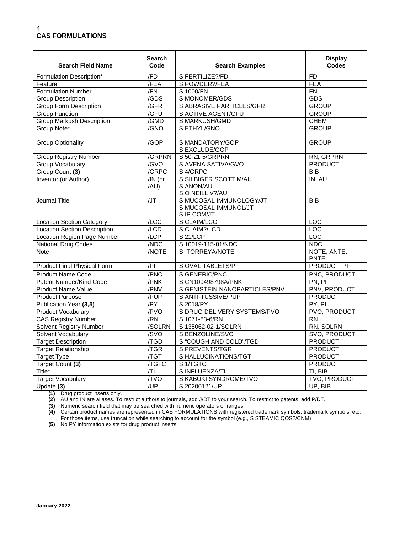| <b>Search Field Name</b>            | <b>Search</b><br>Code | <b>Search Examples</b>                                         | <b>Display</b><br><b>Codes</b> |
|-------------------------------------|-----------------------|----------------------------------------------------------------|--------------------------------|
| Formulation Description*            | /FD                   | S FERTILIZE?/FD                                                | FD                             |
| Feature                             | /FEA                  | S POWDER?/FEA                                                  | <b>FEA</b>                     |
| <b>Formulation Number</b>           | /FN                   | S 1000/FN                                                      | $\overline{FN}$                |
| <b>Group Description</b>            | $\sqrt{GDS}$          | S MONOMER/GDS                                                  | <b>GDS</b>                     |
| <b>Group Form Description</b>       | /GFR                  | S ABRASIVE PARTICLES/GFR                                       | <b>GROUP</b>                   |
| <b>Group Function</b>               | /GFU                  | S ACTIVE AGENT/GFU                                             | <b>GROUP</b>                   |
| <b>Group Markush Description</b>    | /GMD                  | S MARKUSH/GMD                                                  | <b>CHEM</b>                    |
| Group Note*                         | /GNO                  | S ETHYL/GNO                                                    | <b>GROUP</b>                   |
| <b>Group Optionality</b>            | /GOP                  | S MANDATORY/GOP<br>S EXCLUDE/GOP                               | <b>GROUP</b>                   |
| <b>Group Registry Number</b>        | /GRPRN                | S 50-21-5/GRPRN                                                | RN, GRPRN                      |
| <b>Group Vocabulary</b>             | /GVO                  | S AVENA SATIVA/GVO                                             | <b>PRODUCT</b>                 |
| Group Count (3)                     | /GRPC                 | S 4/GRPC                                                       | <b>BIB</b>                     |
| Inventor (or Author)                | $/IN$ (or<br>/AU)     | S SILBIGER SCOTT M/AU<br>S ANON/AU<br>S O NEILL V?/AU          | IN, AU                         |
| Journal Title                       | $\overline{J}$        | S MUCOSAL IMMUNOLOGY/JT<br>S MUCOSAL IMMUNOL/JT<br>S IP.COM/JT | <b>BIB</b>                     |
| <b>Location Section Category</b>    | /LCC                  | S CLAIM/LCC                                                    | $\overline{LOC}$               |
| <b>Location Section Description</b> | / <b>LCD</b>          | S CLAIM?/LCD                                                   | <b>LOC</b>                     |
| Location Region Page Number         | /LCP                  | S <sub>21</sub> /LCP                                           | LOC                            |
| National Drug Codes                 | /NDC                  | S 10019-115-01/NDC                                             | NDC                            |
| <b>Note</b>                         | <b>NOTE</b>           | S TORREYA/NOTE                                                 | NOTE, ANTE,<br><b>PNTE</b>     |
| Product Final Physical Form         | /PF                   | <b>S OVAL TABLETS/PF</b>                                       | PRODUCT, PF                    |
| <b>Product Name Code</b>            | /PNC                  | S GENERIC/PNC                                                  | PNC, PRODUCT                   |
| Patent Number/Kind Code             | /PNK                  | S CN109498798A/PNK                                             | PN, PI                         |
| Product Name Value                  | /PNV                  | S GENISTEIN NANOPARTICLES/PNV                                  | <b>PNV, PRODUCT</b>            |
| <b>Product Purpose</b>              | /PUP                  | S ANTI-TUSSIVE/PUP                                             | <b>PRODUCT</b>                 |
| Publication Year (3,5)              | /PY                   | S 2018/PY                                                      | PY, PI                         |
| Product Vocabulary                  | /PVO                  | S DRUG DELIVERY SYSTEMS/PVO                                    | PVO, PRODUCT                   |
| <b>CAS Registry Number</b>          | /RN                   | S 1071-83-6/RN                                                 | <b>RN</b>                      |
| <b>Solvent Registry Number</b>      | /SOLRN                | S 135062-02-1/SOLRN                                            | RN, SOLRN                      |
| Solvent Vocabulary                  | /SVO                  | S BENZOLINE/SVO                                                | SVO, PRODUCT                   |
| <b>Target Description</b>           | $\overline{TGD}$      | S "COUGH AND COLD"/TGD                                         | <b>PRODUCT</b>                 |
| <b>Target Relationship</b>          | /TGR                  | S PREVENTS/TGR                                                 | <b>PRODUCT</b>                 |
| <b>Target Type</b>                  | /TGT                  | S HALLUCINATIONS/TGT                                           | <b>PRODUCT</b>                 |
| Target Count (3)                    | <b>/TGTC</b>          | S <sub>1</sub> /TGTC                                           | <b>PRODUCT</b>                 |
| Title <sup>*</sup>                  | T                     | S INFLUENZA/TI                                                 | TI, BIB                        |
| <b>Target Vocabulary</b>            | /TVO                  | S KABUKI SYNDROME/TVO                                          | TVO, PRODUCT                   |
| Update (3)                          | /UP                   | S 20200121/UP                                                  | UP, BIB                        |

**(1)** Drug product inserts only.

**(2)** AU and IN are aliases. To restrict authors to journals, add J/DT to your search. To restrict to patents, add P/DT.

**(3)** Numeric search field that may be searched with numeric operators or ranges.

**(4)** Certain product names are represented in CAS FORMULATIONS with registered trademark symbols, trademark symbols, etc. For those items, use truncation while searching to account for the symbol (e.g., S STEAMIC QOS?/CNM)

**(5)** No PY information exists for drug product inserts.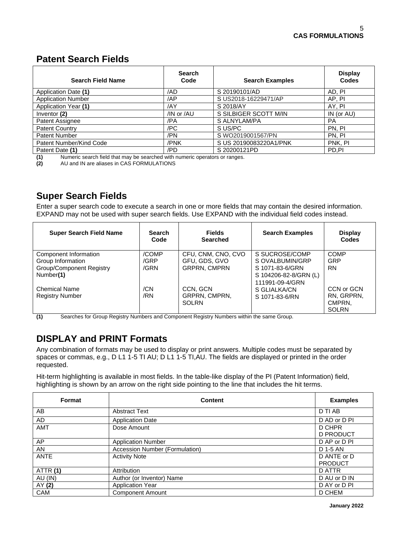# **Patent Search Fields**

| <b>Search Field Name</b>  | <b>Search</b><br>Code | <b>Search Examples</b> | <b>Display</b><br><b>Codes</b> |
|---------------------------|-----------------------|------------------------|--------------------------------|
| Application Date (1)      | /AD                   | S 20190101/AD          | AD, PI                         |
| <b>Application Number</b> | /AP                   | S US2018-16229471/AP   | AP, PI                         |
| Application Year (1)      | /AY                   | S 2018/AY              | AY, PI                         |
| Inventor (2)              | /IN or /AU            | S SILBIGER SCOTT M/IN  | IN (or AU)                     |
| Patent Assignee           | /PA                   | S ALNYLAM/PA           | <b>PA</b>                      |
| <b>Patent Country</b>     | /PC                   | S US/PC                | PN. PI                         |
| Patent Number             | /PN                   | S WO2019001567/PN      | PN. PI                         |
| Patent Number/Kind Code   | /PNK                  | S US 20190083220A1/PNK | PNK, PI                        |
| Patent Date (1)<br>.      | /PD                   | S 20200121PD           | PD,PI                          |

**(1)** Numeric search field that may be searched with numeric operators or ranges.<br>**(2)** AU and IN are aliases in CAS FORMULATIONS

**(2)** AU and IN are aliases in CAS FORMULATIONS

# **Super Search Fields**

Enter a super search code to execute a search in one or more fields that may contain the desired information. EXPAND may not be used with super search fields. Use EXPAND with the individual field codes instead.

| <b>Super Search Field Name</b>  | <b>Search</b><br>Code | <b>Fields</b><br><b>Searched</b> | <b>Search Examples</b> | <b>Display</b><br>Codes |
|---------------------------------|-----------------------|----------------------------------|------------------------|-------------------------|
| Component Information           | /COMP                 | CFU, CNM, CNO, CVO               | S SUCROSE/COMP         | <b>COMP</b>             |
| Group Information               | /GRP                  | GFU, GDS, GVO                    | S OVALBUMIN/GRP        | <b>GRP</b>              |
| <b>Group/Component Registry</b> | /GRN                  | <b>GRPRN, CMPRN</b>              | S 1071-83-6/GRN        | <b>RN</b>               |
| Number(1)                       |                       |                                  | S 104206-82-8/GRN (L)  |                         |
|                                 |                       |                                  | 111991-09-4/GRN        |                         |
| <b>Chemical Name</b>            | /CN                   | CCN, GCN                         | S GLIALKA/CN           | CCN or GCN              |
| <b>Registry Number</b>          | /RN                   | <b>GRPRN. CMPRN.</b>             | S 1071-83-6/RN         | RN. GRPRN.              |
|                                 |                       | <b>SOLRN</b>                     |                        | CMPRN.                  |
|                                 |                       |                                  |                        | <b>SOLRN</b>            |

**(1)** Searches for Group Registry Numbers and Component Registry Numbers within the same Group.

# **DISPLAY and PRINT Formats**

Any combination of formats may be used to display or print answers. Multiple codes must be separated by spaces or commas, e.g., D L1 1-5 TI AU; D L1 1-5 TI,AU. The fields are displayed or printed in the order requested.

Hit-term highlighting is available in most fields. In the table-like display of the PI (Patent Information) field, highlighting is shown by an arrow on the right side pointing to the line that includes the hit terms.

| Format          | Content                        | <b>Examples</b>               |
|-----------------|--------------------------------|-------------------------------|
| AB              | <b>Abstract Text</b>           | D TI AB                       |
| AD              | <b>Application Date</b>        | D AD or D PI                  |
| <b>AMT</b>      | Dose Amount                    | D CHPR<br><b>D PRODUCT</b>    |
| AP              | <b>Application Number</b>      | D AP or D PI                  |
| <b>AN</b>       | Accession Number (Formulation) | D 1-5 AN                      |
| <b>ANTE</b>     | <b>Activity Note</b>           | D ANTE or D<br><b>PRODUCT</b> |
| <b>ATTR (1)</b> | Attribution                    | D ATTR                        |
| AU (IN)         | Author (or Inventor) Name      | D AU or D IN                  |
| AY(2)           | <b>Application Year</b>        | D AY or D PI                  |
| <b>CAM</b>      | <b>Component Amount</b>        | D CHEM                        |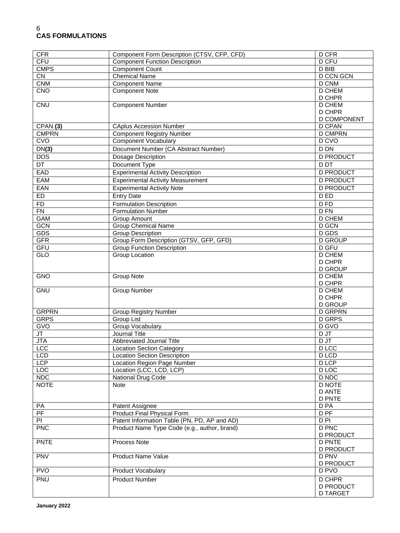| <b>CFR</b>             | Component Form Description (CTSV, CFP, CFD)  | D CFR                             |
|------------------------|----------------------------------------------|-----------------------------------|
| <b>CFU</b>             | <b>Component Function Description</b>        | <b>D CFU</b>                      |
| <b>CMPS</b>            | <b>Component Count</b>                       | $D$ BIB                           |
| $\overline{\text{CN}}$ | <b>Chemical Name</b>                         | <b>D CCN GCN</b>                  |
| <b>CNM</b>             | <b>Component Name</b>                        | D CNM                             |
| CNO                    | <b>Component Note</b>                        | <b>D CHEM</b>                     |
|                        |                                              | D CHPR                            |
| <b>CNU</b>             | <b>Component Number</b>                      | <b>D CHEM</b>                     |
|                        |                                              | D CHPR                            |
|                        |                                              | D COMPONENT                       |
| CPAN(3)                | <b>CAplus Accession Number</b>               | <b>D CPAN</b>                     |
| <b>CMPRN</b>           | <b>Component Registry Number</b>             | <b>D CMPRN</b>                    |
| CVO                    | <b>Component Vocabulary</b>                  | D CVO                             |
| DN(3)                  | Document Number (CA Abstract Number)         | <b>D DN</b>                       |
| <b>DOS</b>             | Dosage Description                           | <b>D PRODUCT</b>                  |
| DT                     | Document Type                                | <b>D</b> DT                       |
| EAD                    | <b>Experimental Activity Description</b>     | <b>D PRODUCT</b>                  |
| <b>EAM</b>             | <b>Experimental Activity Measurement</b>     | <b>D PRODUCT</b>                  |
| <b>EAN</b>             | <b>Experimental Activity Note</b>            | <b>D PRODUCT</b>                  |
| <b>ED</b>              | <b>Entry Date</b>                            | D ED                              |
| FD                     | <b>Formulation Description</b>               | D FD                              |
| $\overline{FN}$        | <b>Formulation Number</b>                    | D <sub>FN</sub>                   |
| <b>GAM</b>             | Group Amount                                 | <b>D CHEM</b>                     |
| <b>GCN</b>             | <b>Group Chemical Name</b>                   | D GCN                             |
| <b>GDS</b>             | <b>Group Description</b>                     | D GDS                             |
| <b>GFR</b>             | Group Form Description (GTSV, GFP, GFD)      | <b>D GROUP</b>                    |
| GFU                    | <b>Group Function Description</b>            | <b>D</b> GFU                      |
| GLO                    | Group Location                               | <b>D CHEM</b>                     |
|                        |                                              | D CHPR                            |
|                        |                                              | <b>D GROUP</b>                    |
| <b>GNO</b>             | Group Note                                   | D CHEM                            |
|                        |                                              | D CHPR                            |
| <b>GNU</b>             | Group Number                                 | <b>D CHEM</b>                     |
|                        |                                              | D CHPR                            |
|                        |                                              | <b>D GROUP</b>                    |
| <b>GRPRN</b>           | <b>Group Registry Number</b>                 | <b>D GRPRN</b>                    |
| <b>GRPS</b>            | Group List                                   | <b>D GRPS</b>                     |
| <b>GVO</b>             | <b>Group Vocabulary</b>                      | D GVO                             |
| JT                     | <b>Journal Title</b>                         | D JT                              |
| <b>JTA</b>             | Abbreviated Journal Title                    | D JT                              |
| LCC                    | <b>Location Section Category</b>             | <b>D</b> LCC                      |
| <b>LCD</b>             | <b>Location Section Description</b>          | D LCD                             |
| LCP                    | Location Region Page Number                  | D LCP                             |
| LOC                    | Location (LCC, LCD, LCP)                     | D LOC                             |
| <b>NDC</b>             | National Drug Code                           | D NDC                             |
| <b>NOTE</b>            | Note                                         | <b>D NOTE</b>                     |
|                        |                                              | <b>D ANTE</b>                     |
|                        |                                              | <b>D PNTE</b>                     |
| PA                     | Patent Assignee                              | D <sub>PA</sub>                   |
| PF                     | Product Final Physical Form                  | D <sub>PF</sub>                   |
| PI                     | Patent Information Table (PN, PD, AP and AD) | $D$ PI                            |
| PNC                    | Product Name Type Code (e.g., author, brand) | <b>D PNC</b>                      |
|                        |                                              | <b>D PRODUCT</b>                  |
| <b>PNTE</b>            | Process Note                                 | <b>D PNTE</b><br><b>D PRODUCT</b> |
| <b>PNV</b>             | <b>Product Name Value</b>                    | <b>D PNV</b>                      |
|                        |                                              | <b>D PRODUCT</b>                  |
| <b>PVO</b>             | Product Vocabulary                           | D PVO                             |
|                        |                                              | <b>D CHPR</b>                     |
| PNU                    | <b>Product Number</b>                        | <b>D PRODUCT</b>                  |
|                        |                                              | <b>D TARGET</b>                   |
|                        |                                              |                                   |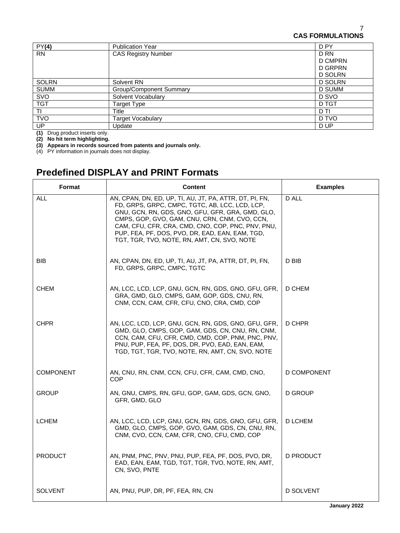| PY(4)        | <b>Publication Year</b>        | D PY           |
|--------------|--------------------------------|----------------|
| <b>RN</b>    | <b>CAS Registry Number</b>     | D RN           |
|              |                                | <b>D CMPRN</b> |
|              |                                | D GRPRN        |
|              |                                | <b>D SOLRN</b> |
| <b>SOLRN</b> | Solvent RN                     | <b>D SOLRN</b> |
| <b>SUMM</b>  | <b>Group/Component Summary</b> | D SUMM         |
| SVO          | Solvent Vocabulary             | D SVO          |
| <b>TGT</b>   | Target Type                    | D TGT          |
| ΤI           | Title                          | D TI           |
| <b>TVO</b>   | <b>Target Vocabulary</b>       | D TVO          |
| UP           | Update                         | D UP           |

**(1)** Drug product inserts only.

**(2) No hit term highlighting.** 

**(3) Appears in records sourced from patents and journals only.** 

(4) PY information in journals does not display.

# **Predefined DISPLAY and PRINT Formats**

| <b>Format</b>    | <b>Content</b>                                                                                                                                                                                                                                                                                                                                                        | <b>Examples</b> |
|------------------|-----------------------------------------------------------------------------------------------------------------------------------------------------------------------------------------------------------------------------------------------------------------------------------------------------------------------------------------------------------------------|-----------------|
| <b>ALL</b>       | AN, CPAN, DN, ED, UP, TI, AU, JT, PA, ATTR, DT, PI, FN,<br>FD, GRPS, GRPC, CMPC, TGTC, AB, LCC, LCD, LCP,<br>GNU, GCN, RN, GDS, GNO, GFU, GFR, GRA, GMD, GLO,<br>CMPS, GOP, GVO, GAM, CNU, CRN, CNM, CVO, CCN,<br>CAM, CFU, CFR, CRA, CMD, CNO, COP, PNC, PNV, PNU,<br>PUP, FEA, PF, DOS, PVO, DR, EAD, EAN, EAM, TGD,<br>TGT, TGR, TVO, NOTE, RN, AMT, CN, SVO, NOTE | D ALL           |
| <b>BIB</b>       | AN, CPAN, DN, ED, UP, TI, AU, JT, PA, ATTR, DT, PI, FN,<br>FD, GRPS, GRPC, CMPC, TGTC                                                                                                                                                                                                                                                                                 | D BIB           |
| <b>CHEM</b>      | AN, LCC, LCD, LCP, GNU, GCN, RN, GDS, GNO, GFU, GFR,<br>GRA, GMD, GLO, CMPS, GAM, GOP, GDS, CNU, RN,<br>CNM, CCN, CAM, CFR, CFU, CNO, CRA, CMD, COP                                                                                                                                                                                                                   | <b>D CHEM</b>   |
| <b>CHPR</b>      | AN, LCC, LCD, LCP, GNU, GCN, RN, GDS, GNO, GFU, GFR,<br>GMD, GLO, CMPS, GOP, GAM, GDS, CN, CNU, RN, CNM,<br>CCN, CAM, CFU, CFR, CMD, CMD, COP, PNM, PNC, PNV,<br>PNU, PUP, FEA, PF, DOS, DR, PVO, EAD, EAN, EAM,<br>TGD, TGT, TGR, TVO, NOTE, RN, AMT, CN, SVO, NOTE                                                                                                  | D CHPR          |
| <b>COMPONENT</b> | AN, CNU, RN, CNM, CCN, CFU, CFR, CAM, CMD, CNO,<br><b>COP</b>                                                                                                                                                                                                                                                                                                         | D COMPONENT     |
| <b>GROUP</b>     | AN, GNU, CMPS, RN, GFU, GOP, GAM, GDS, GCN, GNO,<br>GFR, GMD, GLO                                                                                                                                                                                                                                                                                                     | D GROUP         |
| <b>LCHEM</b>     | AN, LCC, LCD, LCP, GNU, GCN, RN, GDS, GNO, GFU, GFR,<br>GMD, GLO, CMPS, GOP, GVO, GAM, GDS, CN, CNU, RN,<br>CNM, CVO, CCN, CAM, CFR, CNO, CFU, CMD, COP                                                                                                                                                                                                               | D LCHEM         |
| <b>PRODUCT</b>   | AN, PNM, PNC, PNV, PNU, PUP, FEA, PF, DOS, PVO, DR,<br>EAD, EAN, EAM, TGD, TGT, TGR, TVO, NOTE, RN, AMT,<br>CN, SVO, PNTE                                                                                                                                                                                                                                             | D PRODUCT       |
| <b>SOLVENT</b>   | AN, PNU, PUP, DR, PF, FEA, RN, CN                                                                                                                                                                                                                                                                                                                                     | D SOLVENT       |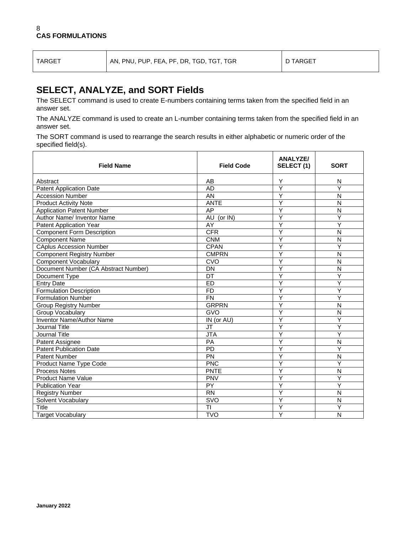TARGET AN, PNU, PUP, FEA, PF, DR, TGD, TGT, TGR D TARGET

## **SELECT, ANALYZE, and SORT Fields**

The SELECT command is used to create E-numbers containing terms taken from the specified field in an answer set.

The ANALYZE command is used to create an L-number containing terms taken from the specified field in an answer set.

The SORT command is used to rearrange the search results in either alphabetic or numeric order of the specified field(s).

| <b>Field Name</b>                    | <b>Field Code</b> | <b>ANALYZE/</b><br>SELECT (1) | <b>SORT</b>             |
|--------------------------------------|-------------------|-------------------------------|-------------------------|
| Abstract                             | AB                | Υ                             | N                       |
| <b>Patent Application Date</b>       | <b>AD</b>         | Ÿ                             | Y                       |
| <b>Accession Number</b>              | AN                | Υ                             | $\mathsf{N}$            |
| <b>Product Activity Note</b>         | <b>ANTE</b>       | Υ                             | N                       |
| <b>Application Patent Number</b>     | AP                | Y                             | N                       |
| Author Name/ Inventor Name           | AU (or IN)        | Υ                             | Y                       |
| <b>Patent Application Year</b>       | AY                | Ý                             | Y                       |
| <b>Component Form Description</b>    | <b>CFR</b>        | Y                             | N                       |
| <b>Component Name</b>                | <b>CNM</b>        | Ÿ                             | $\overline{\mathsf{N}}$ |
| <b>CAplus Accession Number</b>       | <b>CPAN</b>       | Y                             | Ý                       |
| <b>Component Registry Number</b>     | <b>CMPRN</b>      | Y                             | $\overline{N}$          |
| <b>Component Vocabulary</b>          | CVO               | Ý                             | $\mathsf{N}$            |
| Document Number (CA Abstract Number) | DN                | Y                             | N                       |
| Document Type                        | DT                | Y                             | Ý                       |
| <b>Entry Date</b>                    | <b>ED</b>         | Y                             | Y                       |
| <b>Formulation Description</b>       | <b>FD</b>         | Ý                             | Ý                       |
| <b>Formulation Number</b>            | <b>FN</b>         | Ý                             | Ÿ                       |
| <b>Group Registry Number</b>         | <b>GRPRN</b>      | Ý                             | $\overline{\mathsf{N}}$ |
| Group Vocabulary                     | <b>GVO</b>        | Ý                             | $\overline{N}$          |
| Inventor Name/Author Name            | IN (or AU)        | Υ                             | Y                       |
| Journal Title                        | <b>JT</b>         | Υ                             | Y                       |
| Journal Title                        | <b>JTA</b>        | Ý                             | Ý                       |
| Patent Assignee                      | <b>PA</b>         | Υ                             | N                       |
| <b>Patent Publication Date</b>       | <b>PD</b>         | Y                             | Y                       |
| <b>Patent Number</b>                 | PN                | Y                             | N                       |
| Product Name Type Code               | <b>PNC</b>        | Y                             | Y                       |
| Process Notes                        | <b>PNTE</b>       | Y                             | $\overline{\mathsf{N}}$ |
| <b>Product Name Value</b>            | PNV               | Ý                             | Y                       |
| <b>Publication Year</b>              | PY                | Y                             | Υ                       |
| <b>Registry Number</b>               | <b>RN</b>         | Y                             | N                       |
| Solvent Vocabulary                   | <b>SVO</b>        | Ÿ                             | N                       |
| Title                                | TI                | Ý                             | Ý                       |
| <b>Target Vocabulary</b>             | <b>TVO</b>        | Ý                             | N                       |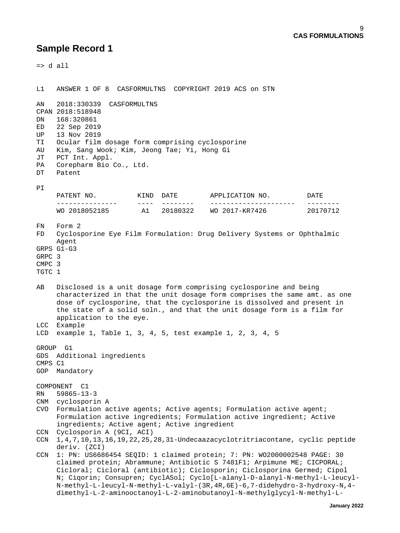$\Rightarrow$  d all L1 ANSWER 1 OF 8 CASFORMULTNS COPYRIGHT 2019 ACS on STN AN 2018:330339 CASFORMULTNS CPAN 2018:518948 168:320861 ED 22 Sep 2019 UP 13 Nov 2019 TI Ocular film dosage form comprising cyclosporine Kim, Sang Wook; Kim, Jeong Tae; Yi, Hong Gi JT PCT Int. Appl. PA Corepharm Bio Co., Ltd.<br>DT Patent Patent PI PATENT NO. KIND DATE APPLICATION NO. DATE --------------- ---- -------- --------------------- -------- A1 20180322 WO 2017-KR7426 FN Form 2 FD Cyclosporine Eye Film Formulation: Drug Delivery Systems or Ophthalmic Agent GRPS G1-G3 GRPC 3 CMPC 3 TGTC 1 AB Disclosed is a unit dosage form comprising cyclosporine and being characterized in that the unit dosage form comprises the same amt. as one dose of cyclosporine, that the cyclosporine is dissolved and present in the state of a solid soln., and that the unit dosage form is a film for application to the eye. LCC Example LCD example 1, Table 1, 3, 4, 5, test example 1, 2, 3, 4, 5 GROUP G1 GDS Additional ingredients CMPS C1 GOP Mandatory COMPONENT C1 RN 59865-13-3 CNM cyclosporin A CVO Formulation active agents; Active agents; Formulation active agent; Formulation active ingredients; Formulation active ingredient; Active ingredients; Active agent; Active ingredient CCN Cyclosporin A (9CI, ACI) CCN 1,4,7,10,13,16,19,22,25,28,31-Undecaazacyclotritriacontane, cyclic peptide deriv. (ZCI) CCN 1: PN: US6686454 SEQID: 1 claimed protein; 7: PN: WO2000002548 PAGE: 30 claimed protein; Abrammune; Antibiotic S 7481F1; Arpimune ME; CICPORAL; Cicloral; Cicloral (antibiotic); Ciclosporin; Ciclosporina Germed; Cipol N; Ciqorin; Consupren; CyclASol; Cyclo[L-alanyl-D-alanyl-N-methyl-L-leucyl- N-methyl-L-leucyl-N-methyl-L-valyl-(3R,4R,6E)-6,7-didehydro-3-hydroxy-N,4 dimethyl-L-2-aminooctanoyl-L-2-aminobutanoyl-N-methylglycyl-N-methyl-L-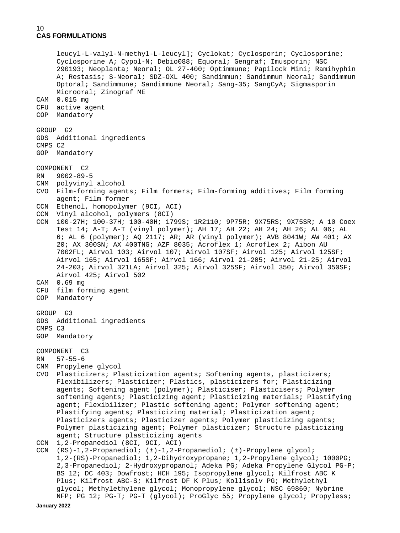```
 leucyl-L-valyl-N-methyl-L-leucyl]; Cyclokat; Cyclosporin; Cyclosporine;
      Cyclosporine A; Cypol-N; Debio088; Equoral; Gengraf; Imusporin; NSC
      290193; Neoplanta; Neoral; OL 27-400; Optimmune; Papilock Mini; Ramihyphin
      A; Restasis; S-Neoral; SDZ-OXL 400; Sandimmun; Sandimmun Neoral; Sandimmun
      Optoral; Sandimmune; Sandimmune Neoral; Sang-35; SangCyA; Sigmasporin
      Microoral; Zinograf ME
CAM 0.015 mg
CFU active agent
COP Mandatory
GROUP G2
GDS Additional ingredients
CMPS C2
GOP Mandatory
COMPONENT C2<br>RN 9002-89-
   RN 9002-89-5
CNM polyvinyl alcohol
CVO Film-forming agents; Film formers; Film-forming additives; Film forming
      agent; Film former
CCN Ethenol, homopolymer (9CI, ACI)
CCN Vinyl alcohol, polymers (8CI)
CCN 100-27H; 100-37H; 100-40H; 1799S; 1R2110; 9P75R; 9X75RS; 9X75SR; A 10 Coex
      Test 14; A-T; A-T (vinyl polymer); AH 17; AH 22; AH 24; AH 26; AL 06; AL
      6; AL 6 (polymer); AQ 2117; AR; AR (vinyl polymer); AVB 8041W; AW 401; AX
      20; AX 300SN; AX 400TNG; AZF 8035; Acroflex 1; Acroflex 2; Aibon AU
      7002FL; Airvol 103; Airvol 107; Airvol 107SF; Airvol 125; Airvol 125SF;
      Airvol 165; Airvol 165SF; Airvol 166; Airvol 21-205; Airvol 21-25; Airvol
      24-203; Airvol 321LA; Airvol 325; Airvol 325SF; Airvol 350; Airvol 350SF;
      Airvol 425; Airvol 502
CAM 0.69 mg
CFU film forming agent
COP Mandatory
GROUP G3
GDS Additional ingredients
CMPS C3
GOP Mandatory
COMPONENT C3<br>RN 57-55-6
    57 - 55 - 6CNM Propylene glycol
CVO Plasticizers; Plasticization agents; Softening agents, plasticizers;
     Flexibilizers; Plasticizer; Plastics, plasticizers for; Plasticizing
      agents; Softening agent (polymer); Plasticiser; Plasticisers; Polymer
      softening agents; Plasticizing agent; Plasticizing materials; Plastifying
     agent; Flexibilizer; Plastic softening agent; Polymer softening agent;
      Plastifying agents; Plasticizing material; Plasticization agent;
      Plasticizers agents; Plasticizer agents; Polymer plasticizing agents;
      Polymer plasticizing agent; Polymer plasticizer; Structure plasticizing
      agent; Structure plasticizing agents
CCN 1,2-Propanediol (8CI, 9CI, ACI)<br>CCN (RS)-1,2-Propanediol; (±)-1,2-P
    CCN (RS)-1,2-Propanediol; (±)-1,2-Propanediol; (±)-Propylene glycol;
      1,2-(RS)-Propanediol; 1,2-Dihydroxypropane; 1,2-Propylene glycol; 1000PG;
      2,3-Propanediol; 2-Hydroxypropanol; Adeka PG; Adeka Propylene Glycol PG-P;
      BS 12; DC 403; Dowfrost; HCH 195; Isopropylene glycol; Kilfrost ABC K
      Plus; Kilfrost ABC-S; Kilfrost DF K Plus; Kollisolv PG; Methylethyl
      glycol; Methylethylene glycol; Monopropylene glycol; NSC 69860; Nybrine
```
NFP; PG 12; PG-T; PG-T (glycol); ProGlyc 55; Propylene glycol; Propyless;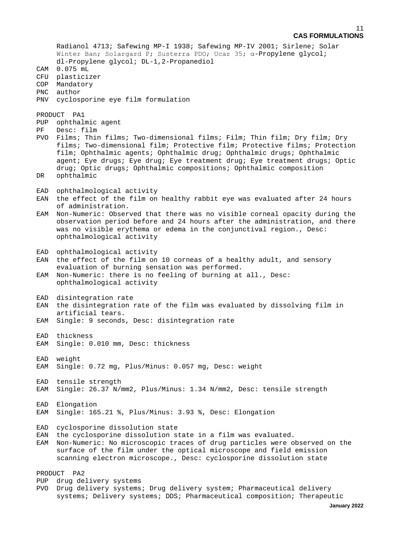Radianol 4713; Safewing MP-I 1938; Safewing MP-IV 2001; Sirlene; Solar Winter Ban; Solargard P; Susterra PDO; Ucar 35; α-Propylene glycol; dl-Propylene glycol; DL-1,2-Propanediol CAM 0.075 mL CFU plasticizer COP Mandatory PNC author PNV cyclosporine eye film formulation PRODUCT PA1 PUP ophthalmic agent<br>PF Desc: film Desc: film PVO Films; Thin films; Two-dimensional films; Film; Thin film; Dry film; Dry films; Two-dimensional film; Protective film; Protective films; Protection film; Ophthalmic agents; Ophthalmic drug; Ophthalmic drugs; Ophthalmic agent; Eye drugs; Eye drug; Eye treatment drug; Eye treatment drugs; Optic drug; Optic drugs; Ophthalmic compositions; Ophthalmic composition DR ophthalmic EAD ophthalmological activity<br>EAN the effect of the film on the effect of the film on healthy rabbit eye was evaluated after 24 hours of administration. EAM Non-Numeric: Observed that there was no visible corneal opacity during the observation period before and 24 hours after the administration, and there was no visible erythema or edema in the conjunctival region., Desc: ophthalmological activity EAD ophthalmological activity EAN the effect of the film on 10 corneas of a healthy adult, and sensory evaluation of burning sensation was performed. EAM Non-Numeric: there is no feeling of burning at all., Desc: ophthalmological activity EAD disintegration rate EAN the disintegration rate of the film was evaluated by dissolving film in artificial tears. EAM Single: 9 seconds, Desc: disintegration rate EAD thickness EAM Single: 0.010 mm, Desc: thickness EAD weight EAM Single: 0.72 mg, Plus/Minus: 0.057 mg, Desc: weight EAD tensile strength EAM Single: 26.37 N/mm2, Plus/Minus: 1.34 N/mm2, Desc: tensile strength EAD Elongation EAM Single: 165.21 %, Plus/Minus: 3.93 %, Desc: Elongation EAD cyclosporine dissolution state EAN the cyclosporine dissolution state in a film was evaluated. EAM Non-Numeric: No microscopic traces of drug particles were observed on the surface of the film under the optical microscope and field emission scanning electron microscope., Desc: cyclosporine dissolution state PRODUCT PA2 PUP drug delivery systems PVO Drug delivery systems; Drug delivery system; Pharmaceutical delivery systems; Delivery systems; DDS; Pharmaceutical composition; Therapeutic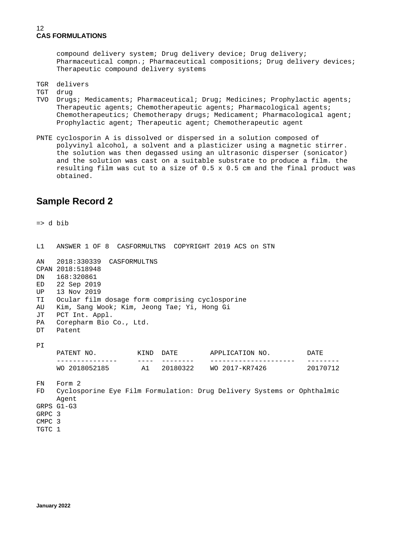compound delivery system; Drug delivery device; Drug delivery; Pharmaceutical compn.; Pharmaceutical compositions; Drug delivery devices; Therapeutic compound delivery systems

TGR delivers<br>TGT drug

drug

- TVO Drugs; Medicaments; Pharmaceutical; Drug; Medicines; Prophylactic agents; Therapeutic agents; Chemotherapeutic agents; Pharmacological agents; Chemotherapeutics; Chemotherapy drugs; Medicament; Pharmacological agent; Prophylactic agent; Therapeutic agent; Chemotherapeutic agent
- PNTE cyclosporin A is dissolved or dispersed in a solution composed of polyvinyl alcohol, a solvent and a plasticizer using a magnetic stirrer. the solution was then degassed using an ultrasonic disperser (sonicator) and the solution was cast on a suitable substrate to produce a film. the resulting film was cut to a size of 0.5 x 0.5 cm and the final product was obtained.

## **Sample Record 2**

=> d bib

| CPAN 2018:518948 |                                                                                                                           |                |                         |                          |  |                                                                                                |                                                                                                                             |
|------------------|---------------------------------------------------------------------------------------------------------------------------|----------------|-------------------------|--------------------------|--|------------------------------------------------------------------------------------------------|-----------------------------------------------------------------------------------------------------------------------------|
|                  |                                                                                                                           |                |                         |                          |  |                                                                                                |                                                                                                                             |
|                  |                                                                                                                           |                |                         |                          |  |                                                                                                |                                                                                                                             |
|                  |                                                                                                                           |                |                         |                          |  |                                                                                                |                                                                                                                             |
|                  |                                                                                                                           |                |                         |                          |  |                                                                                                |                                                                                                                             |
|                  |                                                                                                                           |                |                         |                          |  |                                                                                                |                                                                                                                             |
|                  |                                                                                                                           |                |                         |                          |  |                                                                                                |                                                                                                                             |
|                  |                                                                                                                           |                |                         |                          |  |                                                                                                |                                                                                                                             |
|                  |                                                                                                                           |                |                         |                          |  |                                                                                                |                                                                                                                             |
|                  |                                                                                                                           |                |                         |                          |  |                                                                                                |                                                                                                                             |
|                  |                                                                                                                           |                |                         |                          |  |                                                                                                |                                                                                                                             |
|                  |                                                                                                                           |                |                         |                          |  |                                                                                                |                                                                                                                             |
|                  |                                                                                                                           |                |                         |                          |  |                                                                                                |                                                                                                                             |
|                  |                                                                                                                           |                |                         |                          |  |                                                                                                |                                                                                                                             |
| Agent            |                                                                                                                           |                |                         |                          |  |                                                                                                |                                                                                                                             |
|                  |                                                                                                                           |                |                         |                          |  |                                                                                                |                                                                                                                             |
|                  |                                                                                                                           |                |                         |                          |  |                                                                                                |                                                                                                                             |
|                  |                                                                                                                           |                |                         |                          |  |                                                                                                |                                                                                                                             |
|                  |                                                                                                                           |                |                         |                          |  |                                                                                                |                                                                                                                             |
|                  | DN 168:320861<br>ED 22 Sep 2019<br>13 Nov 2019<br>Patent<br>Form 2<br>GRPS G1-G3<br>GRPC 3<br>CMPC <sub>3</sub><br>TGTC 1 | PCT Int. Appl. | Corepharm Bio Co., Ltd. | 2018:330339 CASFORMULTNS |  | Ocular film dosage form comprising cyclosporine<br>Kim, Sang Wook; Kim, Jeong Tae; Yi, Hong Gi | WO 2018052185 A1 20180322 WO 2017-KR7426 20170712<br>Cyclosporine Eye Film Formulation: Drug Delivery Systems or Ophthalmic |

L1 ANSWER 1 OF 8 CASFORMULTNS COPYRIGHT 2019 ACS on STN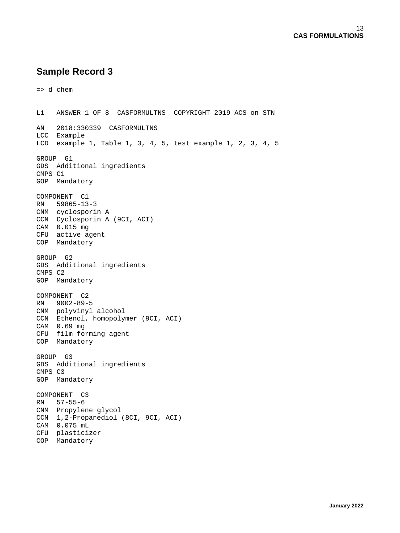```
=> d chem
L1 ANSWER 1 OF 8 CASFORMULTNS COPYRIGHT 2019 ACS on STN 
AN 2018:330339 CASFORMULTNS
LCC Example
LCD example 1, Table 1, 3, 4, 5, test example 1, 2, 3, 4, 5
GROUP G1
GDS Additional ingredients
CMPS C1
GOP Mandatory
COMPONENT C1
RN 59865-13-3
CNM cyclosporin A
CCN Cyclosporin A (9CI, ACI)
CAM 0.015 mg
CFU active agent
COP Mandatory
GROUP G2
GDS Additional ingredients
CMPS C2
GOP Mandatory
COMPONENT C2
RN 9002-89-5
CNM polyvinyl alcohol
CCN Ethenol, homopolymer (9CI, ACI)
CAM 0.69 mg
CFU film forming agent
COP Mandatory
GROUP G3
GDS Additional ingredients
CMPS C3
GOP Mandatory
COMPONENT C3
RN 57-55-6
CNM Propylene glycol
CCN 1,2-Propanediol (8CI, 9CI, ACI)
CAM 0.075 mL
CFU plasticizer
COP Mandatory
```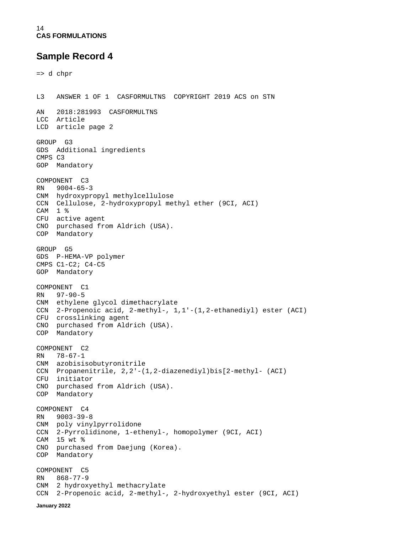**January 2022**

```
=> d chpr
L3 ANSWER 1 OF 1 CASFORMULTNS COPYRIGHT 2019 ACS on STN 
AN 2018:281993 CASFORMULTNS
LCC Article
LCD article page 2
GROUP G3
GDS Additional ingredients
CMPS C3
GOP Mandatory
COMPONENT C3<br>RN 9004-65-
    9004 - 65 - 3CNM hydroxypropyl methylcellulose
CCN Cellulose, 2-hydroxypropyl methyl ether (9CI, ACI)
CAM 1 %
CFU active agent
CNO purchased from Aldrich (USA).
COP Mandatory
GROUP G5
GDS P-HEMA-VP polymer
CMPS C1-C2; C4-C5
GOP Mandatory
COMPONENT C1<br>RN 97-90-5
    97 - 90 - 5CNM ethylene glycol dimethacrylate
CCN 2-Propenoic acid, 2-methyl-, 1,1'-(1,2-ethanediyl) ester (ACI)
CFU crosslinking agent
CNO purchased from Aldrich (USA).
COP Mandatory
COMPONENT C2<br>RN 78-67-1
   78 - 67 - 1CNM azobisisobutyronitrile
CCN Propanenitrile, 2,2'-(1,2-diazenediyl)bis[2-methyl- (ACI)
CFU initiator
CNO purchased from Aldrich (USA).
COP Mandatory
COMPONENT C4
RN 9003-39-8
CNM poly vinylpyrrolidone
CCN 2-Pyrrolidinone, 1-ethenyl-, homopolymer (9CI, ACI)
CAM 15 wt %
CNO purchased from Daejung (Korea).
COP Mandatory
COMPONENT C5<br>RN 868-77-9
     868 - 77 - 9CNM 2 hydroxyethyl methacrylate
CCN 2-Propenoic acid, 2-methyl-, 2-hydroxyethyl ester (9CI, ACI)
```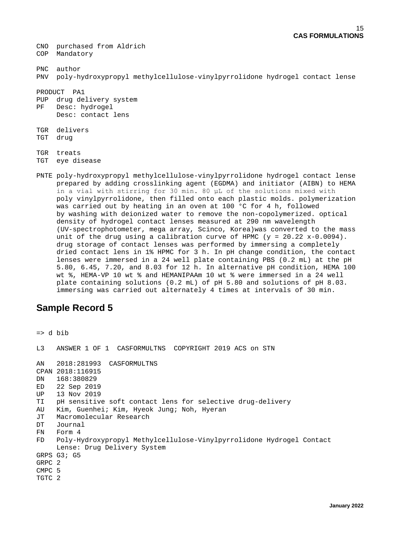CNO purchased from Aldrich COP Mandatory PNC author PNV poly-hydroxypropyl methylcellulose-vinylpyrrolidone hydrogel contact lense PRODUCT PA1 PUP drug delivery system PF Desc: hydrogel Desc: contact lens TGR delivers TGT drug TGR treats TGT eye disease PNTE poly-hydroxypropyl methylcellulose-vinylpyrrolidone hydrogel contact lense prepared by adding crosslinking agent (EGDMA) and initiator (AIBN) to HEMA in a vial with stirring for 30 min. 80 μL of the solutions mixed with

 poly vinylpyrrolidone, then filled onto each plastic molds. polymerization was carried out by heating in an oven at 100 °C for 4 h, followed by washing with deionized water to remove the non-copolymerized. optical density of hydrogel contact lenses measured at 290 nm wavelength (UV-spectrophotometer, mega array, Scinco, Korea)was converted to the mass unit of the drug using a calibration curve of HPMC ( $y = 20.22 x - 0.0094$ ). drug storage of contact lenses was performed by immersing a completely dried contact lens in 1% HPMC for 3 h. In pH change condition, the contact lenses were immersed in a 24 well plate containing PBS (0.2 mL) at the pH 5.80, 6.45, 7.20, and 8.03 for 12 h. In alternative pH condition, HEMA 100 wt %, HEMA-VP 10 wt % and HEMANIPAAm 10 wt % were immersed in a 24 well plate containing solutions (0.2 mL) of pH 5.80 and solutions of pH 8.03. immersing was carried out alternately 4 times at intervals of 30 min.

# **Sample Record 5**

```
=> d bib
L3 ANSWER 1 OF 1 CASFORMULTNS COPYRIGHT 2019 ACS on STN 
AN 2018:281993 CASFORMULTNS
CPAN 2018:116915<br>DN 168:380829
DN 168:380829<br>ED 22 Sep 201
ED 22 Sep 2019<br>UP 13 Nov 2019
UP 13 Nov 2019<br>TI pH sensitive
      pH sensitive soft contact lens for selective drug-delivery
AU Kim, Guenhei; Kim, Hyeok Jung; Noh, Hyeran
JT Macromolecular Research
DT Journal<br>FN Form 4
FN Form 4<br>FD Poly-H
      FD Poly-Hydroxypropyl Methylcellulose-Vinylpyrrolidone Hydrogel Contact
       Lense: Drug Delivery System
GRPS G3; G5
GRPC 2
CMPC 5
TGTC 2
```